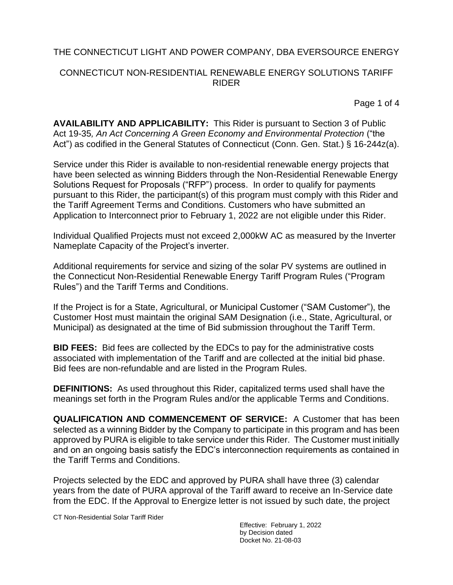## CONNECTICUT NON-RESIDENTIAL RENEWABLE ENERGY SOLUTIONS TARIFF RIDER

Page 1 of 4

**AVAILABILITY AND APPLICABILITY:** This Rider is pursuant to Section 3 of Public Act 19-35*, An Act Concerning A Green Economy and Environmental Protection* ("the Act") as codified in the General Statutes of Connecticut (Conn. Gen. Stat.) § 16-244z(a).

Service under this Rider is available to non-residential renewable energy projects that have been selected as winning Bidders through the Non-Residential Renewable Energy Solutions Request for Proposals ("RFP") process. In order to qualify for payments pursuant to this Rider, the participant(s) of this program must comply with this Rider and the Tariff Agreement Terms and Conditions. Customers who have submitted an Application to Interconnect prior to February 1, 2022 are not eligible under this Rider.

Individual Qualified Projects must not exceed 2,000kW AC as measured by the Inverter Nameplate Capacity of the Project's inverter.

Additional requirements for service and sizing of the solar PV systems are outlined in the Connecticut Non-Residential Renewable Energy Tariff Program Rules ("Program Rules") and the Tariff Terms and Conditions.

If the Project is for a State, Agricultural, or Municipal Customer ("SAM Customer"), the Customer Host must maintain the original SAM Designation (i.e., State, Agricultural, or Municipal) as designated at the time of Bid submission throughout the Tariff Term.

**BID FEES:** Bid fees are collected by the EDCs to pay for the administrative costs associated with implementation of the Tariff and are collected at the initial bid phase. Bid fees are non-refundable and are listed in the Program Rules.

**DEFINITIONS:** As used throughout this Rider, capitalized terms used shall have the meanings set forth in the Program Rules and/or the applicable Terms and Conditions.

**QUALIFICATION AND COMMENCEMENT OF SERVICE:** A Customer that has been selected as a winning Bidder by the Company to participate in this program and has been approved by PURA is eligible to take service under this Rider. The Customer must initially and on an ongoing basis satisfy the EDC's interconnection requirements as contained in the Tariff Terms and Conditions.

Projects selected by the EDC and approved by PURA shall have three (3) calendar years from the date of PURA approval of the Tariff award to receive an In-Service date from the EDC. If the Approval to Energize letter is not issued by such date, the project

CT Non-Residential Solar Tariff Rider

Effective: February 1, 2022 by Decision dated Docket No. 21-08-03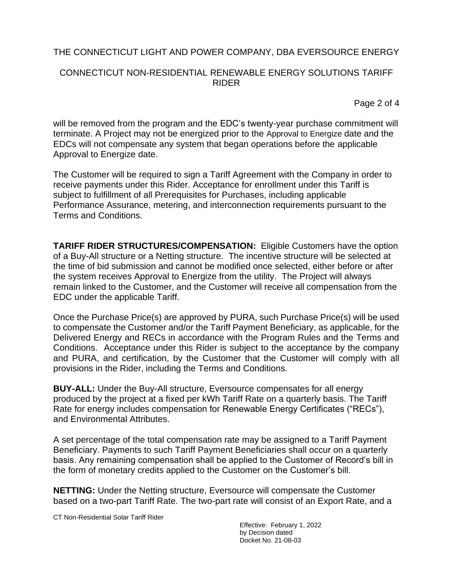## CONNECTICUT NON-RESIDENTIAL RENEWABLE ENERGY SOLUTIONS TARIFF RIDER

Page 2 of 4

will be removed from the program and the EDC's twenty-year purchase commitment will terminate. A Project may not be energized prior to the Approval to Energize date and the EDCs will not compensate any system that began operations before the applicable Approval to Energize date.

The Customer will be required to sign a Tariff Agreement with the Company in order to receive payments under this Rider. Acceptance for enrollment under this Tariff is subject to fulfillment of all Prerequisites for Purchases, including applicable Performance Assurance, metering, and interconnection requirements pursuant to the Terms and Conditions.

**TARIFF RIDER STRUCTURES/COMPENSATION:** Eligible Customers have the option of a Buy-All structure or a Netting structure. The incentive structure will be selected at the time of bid submission and cannot be modified once selected, either before or after the system receives Approval to Energize from the utility. The Project will always remain linked to the Customer, and the Customer will receive all compensation from the EDC under the applicable Tariff.

Once the Purchase Price(s) are approved by PURA, such Purchase Price(s) will be used to compensate the Customer and/or the Tariff Payment Beneficiary, as applicable, for the Delivered Energy and RECs in accordance with the Program Rules and the Terms and Conditions. Acceptance under this Rider is subject to the acceptance by the company and PURA, and certification, by the Customer that the Customer will comply with all provisions in the Rider, including the Terms and Conditions.

**BUY-ALL:** Under the Buy-All structure, Eversource compensates for all energy produced by the project at a fixed per kWh Tariff Rate on a quarterly basis. The Tariff Rate for energy includes compensation for Renewable Energy Certificates ("RECs"), and Environmental Attributes.

A set percentage of the total compensation rate may be assigned to a Tariff Payment Beneficiary. Payments to such Tariff Payment Beneficiaries shall occur on a quarterly basis. Any remaining compensation shall be applied to the Customer of Record's bill in the form of monetary credits applied to the Customer on the Customer's bill.

**NETTING:** Under the Netting structure, Eversource will compensate the Customer based on a two-part Tariff Rate. The two-part rate will consist of an Export Rate, and a

CT Non-Residential Solar Tariff Rider

Effective: February 1, 2022 by Decision dated Docket No. 21-08-03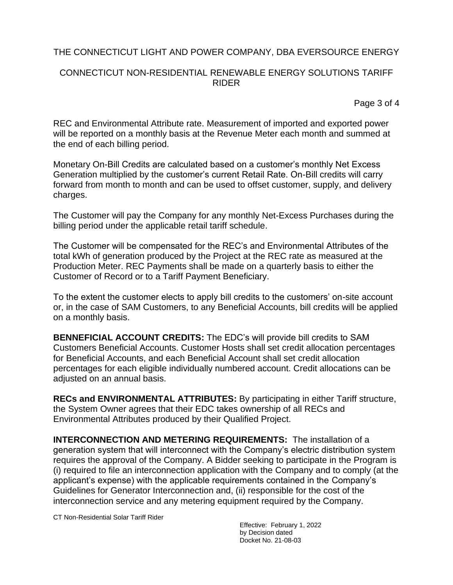## CONNECTICUT NON-RESIDENTIAL RENEWABLE ENERGY SOLUTIONS TARIFF RIDER

Page 3 of 4

REC and Environmental Attribute rate. Measurement of imported and exported power will be reported on a monthly basis at the Revenue Meter each month and summed at the end of each billing period.

Monetary On-Bill Credits are calculated based on a customer's monthly Net Excess Generation multiplied by the customer's current Retail Rate. On-Bill credits will carry forward from month to month and can be used to offset customer, supply, and delivery charges.

The Customer will pay the Company for any monthly Net-Excess Purchases during the billing period under the applicable retail tariff schedule.

The Customer will be compensated for the REC's and Environmental Attributes of the total kWh of generation produced by the Project at the REC rate as measured at the Production Meter. REC Payments shall be made on a quarterly basis to either the Customer of Record or to a Tariff Payment Beneficiary.

To the extent the customer elects to apply bill credits to the customers' on-site account or, in the case of SAM Customers, to any Beneficial Accounts, bill credits will be applied on a monthly basis.

**BENNEFICIAL ACCOUNT CREDITS:** The EDC's will provide bill credits to SAM Customers Beneficial Accounts. Customer Hosts shall set credit allocation percentages for Beneficial Accounts, and each Beneficial Account shall set credit allocation percentages for each eligible individually numbered account. Credit allocations can be adjusted on an annual basis.

**RECs and ENVIRONMENTAL ATTRIBUTES:** By participating in either Tariff structure, the System Owner agrees that their EDC takes ownership of all RECs and Environmental Attributes produced by their Qualified Project.

**INTERCONNECTION AND METERING REQUIREMENTS:** The installation of a generation system that will interconnect with the Company's electric distribution system requires the approval of the Company. A Bidder seeking to participate in the Program is (i) required to file an interconnection application with the Company and to comply (at the applicant's expense) with the applicable requirements contained in the Company's Guidelines for Generator Interconnection and, (ii) responsible for the cost of the interconnection service and any metering equipment required by the Company.

CT Non-Residential Solar Tariff Rider

Effective: February 1, 2022 by Decision dated Docket No. 21-08-03